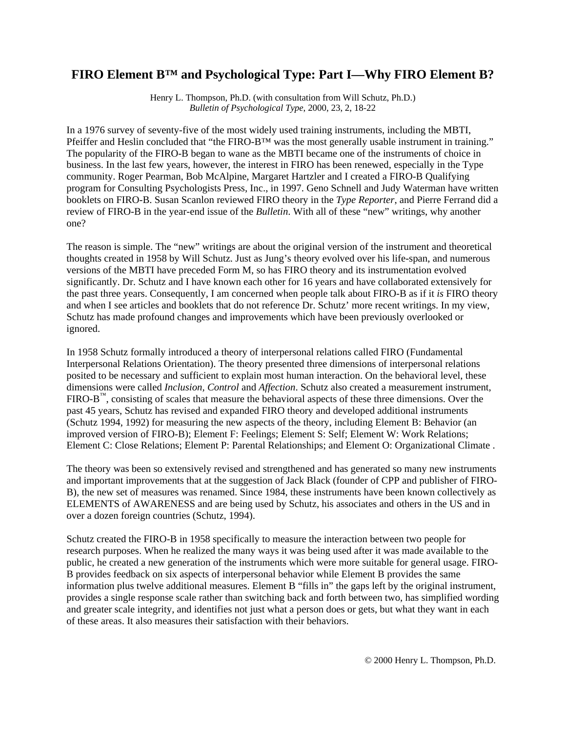# **FIRO Element B™ and Psychological Type: Part I—Why FIRO Element B?**

Henry L. Thompson, Ph.D. (with consultation from Will Schutz, Ph.D.) *Bulletin of Psychological Type*, 2000, 23, 2, 18-22

In a 1976 survey of seventy-five of the most widely used training instruments, including the MBTI, Pfeiffer and Heslin concluded that "the FIRO-B™ was the most generally usable instrument in training." The popularity of the FIRO-B began to wane as the MBTI became one of the instruments of choice in business. In the last few years, however, the interest in FIRO has been renewed, especially in the Type community. Roger Pearman, Bob McAlpine, Margaret Hartzler and I created a FIRO-B Qualifying program for Consulting Psychologists Press, Inc., in 1997. Geno Schnell and Judy Waterman have written booklets on FIRO-B. Susan Scanlon reviewed FIRO theory in the *Type Reporter*, and Pierre Ferrand did a review of FIRO-B in the year-end issue of the *Bulletin*. With all of these "new" writings, why another one?

The reason is simple. The "new" writings are about the original version of the instrument and theoretical thoughts created in 1958 by Will Schutz. Just as Jung's theory evolved over his life-span, and numerous versions of the MBTI have preceded Form M, so has FIRO theory and its instrumentation evolved significantly. Dr. Schutz and I have known each other for 16 years and have collaborated extensively for the past three years. Consequently, I am concerned when people talk about FIRO-B as if it *is* FIRO theory and when I see articles and booklets that do not reference Dr. Schutz' more recent writings. In my view, Schutz has made profound changes and improvements which have been previously overlooked or ignored.

In 1958 Schutz formally introduced a theory of interpersonal relations called FIRO (Fundamental Interpersonal Relations Orientation). The theory presented three dimensions of interpersonal relations posited to be necessary and sufficient to explain most human interaction. On the behavioral level, these dimensions were called *Inclusion, Control* and *Affection*. Schutz also created a measurement instrument,  $FIRO-B^{m}$ , consisting of scales that measure the behavioral aspects of these three dimensions. Over the past 45 years, Schutz has revised and expanded FIRO theory and developed additional instruments (Schutz 1994, 1992) for measuring the new aspects of the theory, including Element B: Behavior (an improved version of FIRO-B); Element F: Feelings; Element S: Self; Element W: Work Relations; Element C: Close Relations; Element P: Parental Relationships; and Element O: Organizational Climate .

The theory was been so extensively revised and strengthened and has generated so many new instruments and important improvements that at the suggestion of Jack Black (founder of CPP and publisher of FIRO-B), the new set of measures was renamed. Since 1984, these instruments have been known collectively as ELEMENTS of AWARENESS and are being used by Schutz, his associates and others in the US and in over a dozen foreign countries (Schutz, 1994).

Schutz created the FIRO-B in 1958 specifically to measure the interaction between two people for research purposes. When he realized the many ways it was being used after it was made available to the public, he created a new generation of the instruments which were more suitable for general usage. FIRO-B provides feedback on six aspects of interpersonal behavior while Element B provides the same information plus twelve additional measures. Element B "fills in" the gaps left by the original instrument, provides a single response scale rather than switching back and forth between two, has simplified wording and greater scale integrity, and identifies not just what a person does or gets, but what they want in each of these areas. It also measures their satisfaction with their behaviors.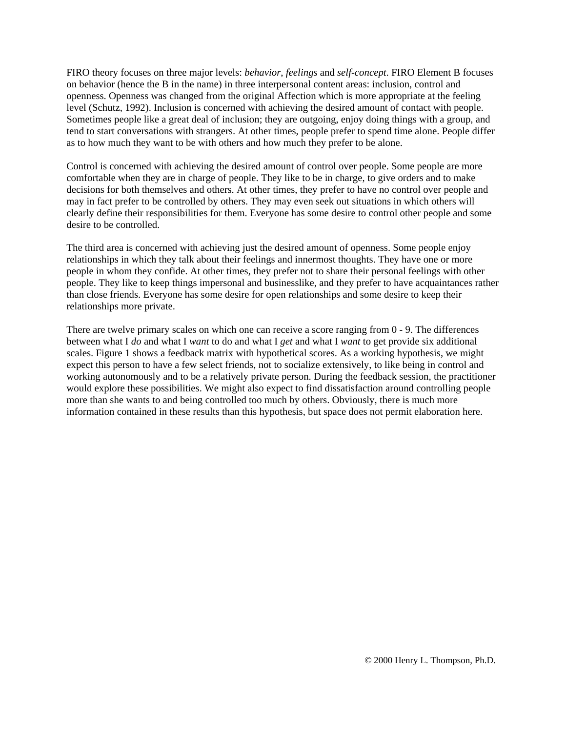FIRO theory focuses on three major levels: *behavior*, *feelings* and *self-concept*. FIRO Element B focuses on behavior (hence the B in the name) in three interpersonal content areas: inclusion, control and openness. Openness was changed from the original Affection which is more appropriate at the feeling level (Schutz, 1992). Inclusion is concerned with achieving the desired amount of contact with people. Sometimes people like a great deal of inclusion; they are outgoing, enjoy doing things with a group, and tend to start conversations with strangers. At other times, people prefer to spend time alone. People differ as to how much they want to be with others and how much they prefer to be alone.

Control is concerned with achieving the desired amount of control over people. Some people are more comfortable when they are in charge of people. They like to be in charge, to give orders and to make decisions for both themselves and others. At other times, they prefer to have no control over people and may in fact prefer to be controlled by others. They may even seek out situations in which others will clearly define their responsibilities for them. Everyone has some desire to control other people and some desire to be controlled.

The third area is concerned with achieving just the desired amount of openness. Some people enjoy relationships in which they talk about their feelings and innermost thoughts. They have one or more people in whom they confide. At other times, they prefer not to share their personal feelings with other people. They like to keep things impersonal and businesslike, and they prefer to have acquaintances rather than close friends. Everyone has some desire for open relationships and some desire to keep their relationships more private.

There are twelve primary scales on which one can receive a score ranging from 0 - 9. The differences between what I *do* and what I *want* to do and what I *get* and what I *want* to get provide six additional scales. Figure 1 shows a feedback matrix with hypothetical scores. As a working hypothesis, we might expect this person to have a few select friends, not to socialize extensively, to like being in control and working autonomously and to be a relatively private person. During the feedback session, the practitioner would explore these possibilities. We might also expect to find dissatisfaction around controlling people more than she wants to and being controlled too much by others. Obviously, there is much more information contained in these results than this hypothesis, but space does not permit elaboration here.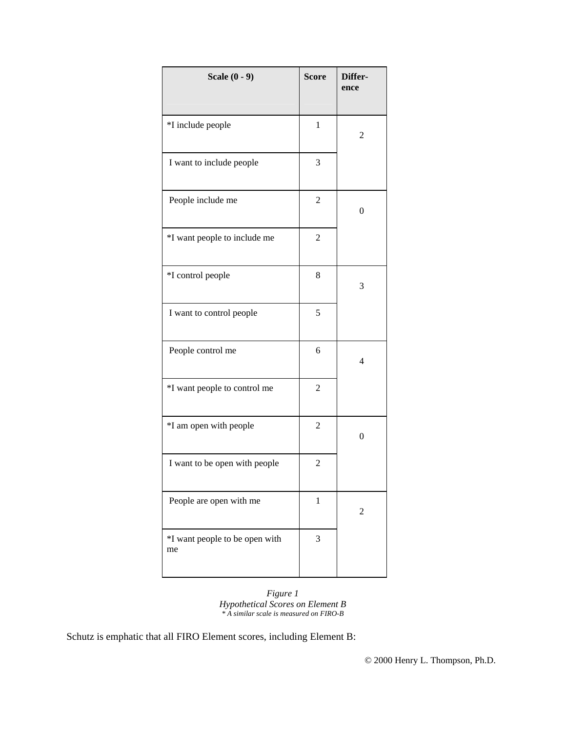| Scale $(0 - 9)$                      | <b>Score</b>   | Differ-<br>ence |  |
|--------------------------------------|----------------|-----------------|--|
| *I include people                    | $\mathbf{1}$   | 2               |  |
| I want to include people             | 3              |                 |  |
| People include me                    | $\overline{c}$ | $\overline{0}$  |  |
| *I want people to include me         | 2              |                 |  |
| *I control people                    | 8              | 3               |  |
| I want to control people             | 5              |                 |  |
| People control me                    | 6              | 4               |  |
| *I want people to control me         | $\overline{c}$ |                 |  |
| *I am open with people               | $\overline{c}$ | $\overline{0}$  |  |
| I want to be open with people        | $\overline{c}$ |                 |  |
| People are open with me              | $\,1$          | 2               |  |
| *I want people to be open with<br>me | 3              |                 |  |

*Figure 1 Hypothetical Scores on Element B \* A similar scale is measured on FIRO-B*

Schutz is emphatic that all FIRO Element scores, including Element B: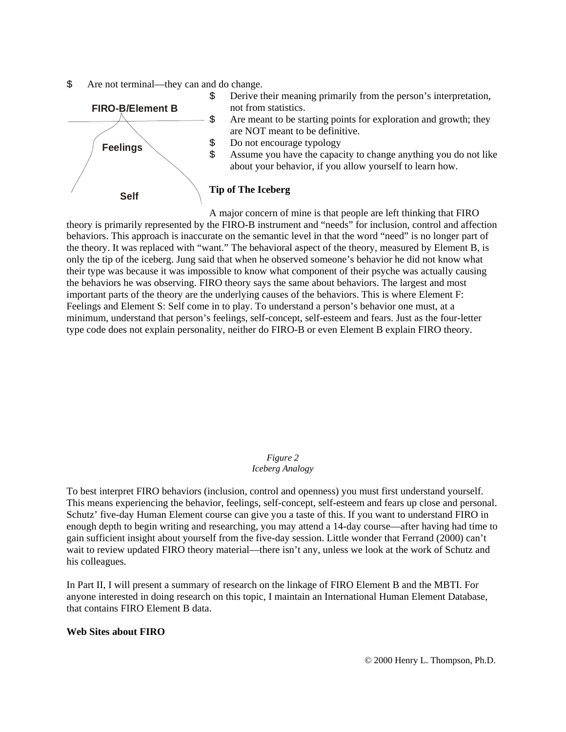\$ Are not terminal—they can and do change.



A major concern of mine is that people are left thinking that FIRO theory is primarily represented by the FIRO-B instrument and "needs" for inclusion, control and affection behaviors. This approach is inaccurate on the semantic level in that the word "need" is no longer part of the theory. It was replaced with "want." The behavioral aspect of the theory, measured by Element B, is only the tip of the iceberg. Jung said that when he observed someone's behavior he did not know what their type was because it was impossible to know what component of their psyche was actually causing the behaviors he was observing. FIRO theory says the same about behaviors. The largest and most important parts of the theory are the underlying causes of the behaviors. This is where Element F: Feelings and Element S: Self come in to play. To understand a person's behavior one must, at a minimum, understand that person's feelings, self-concept, self-esteem and fears. Just as the four-letter type code does not explain personality, neither do FIRO-B or even Element B explain FIRO theory.

#### *Figure 2 Iceberg Analogy*

To best interpret FIRO behaviors (inclusion, control and openness) you must first understand yourself. This means experiencing the behavior, feelings, self-concept, self-esteem and fears up close and personal. Schutz' five-day Human Element course can give you a taste of this. If you want to understand FIRO in enough depth to begin writing and researching, you may attend a 14-day course—after having had time to gain sufficient insight about yourself from the five-day session. Little wonder that Ferrand (2000) can't wait to review updated FIRO theory material—there isn't any, unless we look at the work of Schutz and his colleagues.

In Part II, I will present a summary of research on the linkage of FIRO Element B and the MBTI. For anyone interested in doing research on this topic, I maintain an International Human Element Database, that contains FIRO Element B data.

### **Web Sites about FIRO**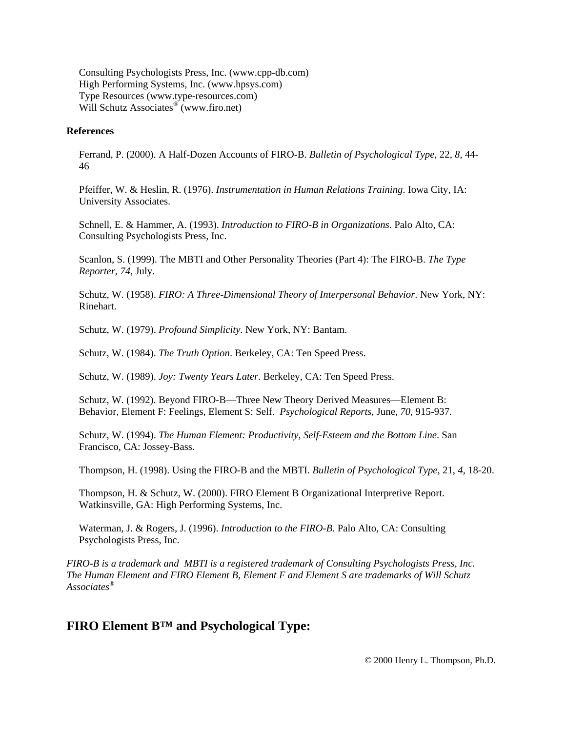Consulting Psychologists Press, Inc. (www.cpp-db.com) High Performing Systems, Inc. (www.hpsys.com) Type Resources (www.type-resources.com) Will Schutz Associates<sup>®</sup> (www.firo.net)

#### **References**

Ferrand, P. (2000). A Half-Dozen Accounts of FIRO-B. *Bulletin of Psychological Type*, 22, *8*, 44- 46

Pfeiffer, W. & Heslin, R. (1976). *Instrumentation in Human Relations Training*. Iowa City, IA: University Associates.

Schnell, E. & Hammer, A. (1993). *Introduction to FIRO-B in Organizations*. Palo Alto, CA: Consulting Psychologists Press, Inc.

Scanlon, S. (1999). The MBTI and Other Personality Theories (Part 4): The FIRO-B. *The Type Reporter*, *74*, July.

Schutz, W. (1958). *FIRO: A Three-Dimensional Theory of Interpersonal Behavior*. New York, NY: Rinehart.

Schutz, W. (1979). *Profound Simplicity*. New York, NY: Bantam.

Schutz, W. (1984). *The Truth Option*. Berkeley, CA: Ten Speed Press.

Schutz, W. (1989). *Joy: Twenty Years Later*. Berkeley, CA: Ten Speed Press.

Schutz, W. (1992). Beyond FIRO-B—Three New Theory Derived Measures—Element B: Behavior, Element F: Feelings, Element S: Self. *Psychological Reports*, June, *70*, 915-937.

Schutz, W. (1994). *The Human Element: Productivity, Self-Esteem and the Bottom Line*. San Francisco, CA: Jossey-Bass.

Thompson, H. (1998). Using the FIRO-B and the MBTI. *Bulletin of Psychological Type*, 21, *4*, 18-20.

Thompson, H. & Schutz, W. (2000). FIRO Element B Organizational Interpretive Report. Watkinsville, GA: High Performing Systems, Inc.

Waterman, J. & Rogers, J. (1996). *Introduction to the FIRO-B*. Palo Alto, CA: Consulting Psychologists Press, Inc.

*FIRO-B is a trademark and MBTI is a registered trademark of Consulting Psychologists Press, Inc. The Human Element and FIRO Element B, Element F and Element S are trademarks of Will Schutz Associates®*

## **FIRO Element B™ and Psychological Type:**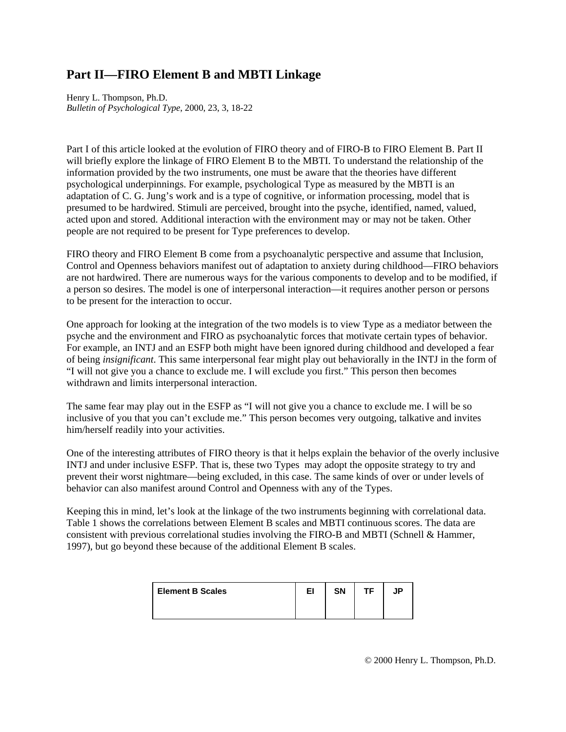# **Part II—FIRO Element B and MBTI Linkage**

Henry L. Thompson, Ph.D. *Bulletin of Psychological Type*, 2000, 23, 3, 18-22

Part I of this article looked at the evolution of FIRO theory and of FIRO-B to FIRO Element B. Part II will briefly explore the linkage of FIRO Element B to the MBTI. To understand the relationship of the information provided by the two instruments, one must be aware that the theories have different psychological underpinnings. For example, psychological Type as measured by the MBTI is an adaptation of C. G. Jung's work and is a type of cognitive, or information processing, model that is presumed to be hardwired. Stimuli are perceived, brought into the psyche, identified, named, valued, acted upon and stored. Additional interaction with the environment may or may not be taken. Other people are not required to be present for Type preferences to develop.

FIRO theory and FIRO Element B come from a psychoanalytic perspective and assume that Inclusion, Control and Openness behaviors manifest out of adaptation to anxiety during childhood—FIRO behaviors are not hardwired. There are numerous ways for the various components to develop and to be modified, if a person so desires. The model is one of interpersonal interaction—it requires another person or persons to be present for the interaction to occur.

One approach for looking at the integration of the two models is to view Type as a mediator between the psyche and the environment and FIRO as psychoanalytic forces that motivate certain types of behavior. For example, an INTJ and an ESFP both might have been ignored during childhood and developed a fear of being *insignificant*. This same interpersonal fear might play out behaviorally in the INTJ in the form of "I will not give you a chance to exclude me. I will exclude you first." This person then becomes withdrawn and limits interpersonal interaction.

The same fear may play out in the ESFP as "I will not give you a chance to exclude me. I will be so inclusive of you that you can't exclude me." This person becomes very outgoing, talkative and invites him/herself readily into your activities.

One of the interesting attributes of FIRO theory is that it helps explain the behavior of the overly inclusive INTJ and under inclusive ESFP. That is, these two Types may adopt the opposite strategy to try and prevent their worst nightmare—being excluded, in this case. The same kinds of over or under levels of behavior can also manifest around Control and Openness with any of the Types.

Keeping this in mind, let's look at the linkage of the two instruments beginning with correlational data. Table 1 shows the correlations between Element B scales and MBTI continuous scores. The data are consistent with previous correlational studies involving the FIRO-B and MBTI (Schnell & Hammer, 1997), but go beyond these because of the additional Element B scales.

| <b>Element B Scales</b> | EI | <b>SN</b> |  |
|-------------------------|----|-----------|--|
|                         |    |           |  |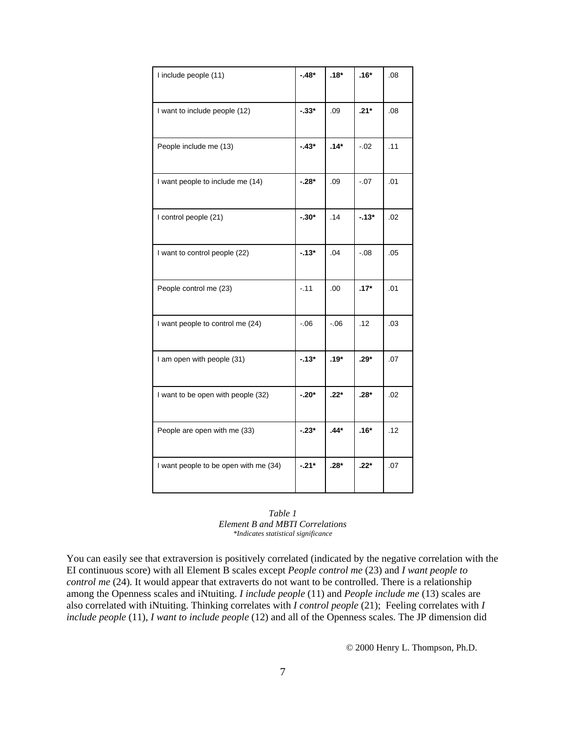| I include people (11)                 | $-48*$   | $.18*$  | $.16*$  | .08 |
|---------------------------------------|----------|---------|---------|-----|
| I want to include people (12)         | $-33*$   | .09     | $.21*$  | .08 |
| People include me (13)                | $-43*$   | $.14*$  | $-.02$  | .11 |
| I want people to include me (14)      | $-.28*$  | .09     | $-.07$  | .01 |
| I control people (21)                 | $-30*$   | .14     | $-13*$  | .02 |
| I want to control people (22)         | $-13*$   | .04     | $-0.08$ | .05 |
| People control me (23)                | $-11$    | .00     | $.17*$  | .01 |
| I want people to control me (24)      | $-06$    | $-0.06$ | .12     | .03 |
| I am open with people (31)            | $-13*$   | $.19*$  | $.29*$  | .07 |
| I want to be open with people (32)    | $-0.20*$ | $.22*$  | $.28*$  | .02 |
| People are open with me (33)          | $-23*$   | $.44*$  | $.16*$  | .12 |
| I want people to be open with me (34) | $-.21*$  | $.28*$  | $.22*$  | .07 |



You can easily see that extraversion is positively correlated (indicated by the negative correlation with the EI continuous score) with all Element B scales except *People control me* (23) and *I want people to control me* (24). It would appear that extraverts do not want to be controlled. There is a relationship among the Openness scales and iNtuiting. *I include people* (11) and *People include me* (13) scales are also correlated with iNtuiting. Thinking correlates with *I control people* (21); Feeling correlates with *I include people* (11), *I want to include people* (12) and all of the Openness scales. The JP dimension did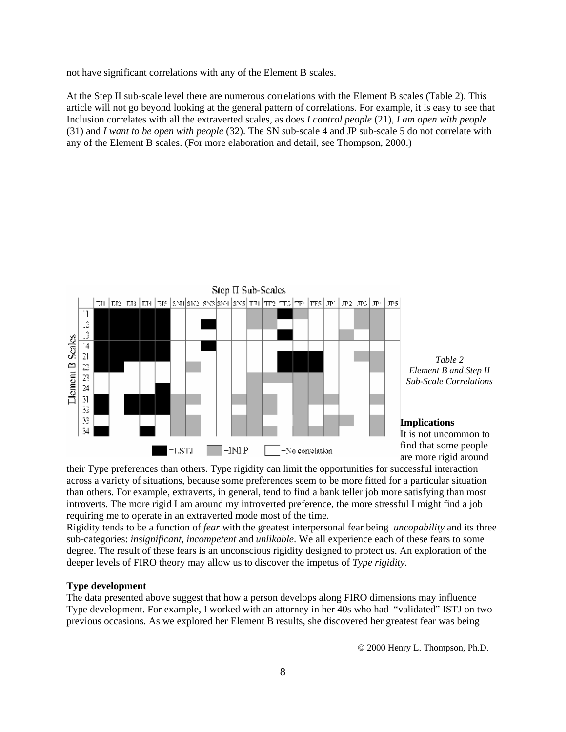not have significant correlations with any of the Element B scales.

At the Step II sub-scale level there are numerous correlations with the Element B scales (Table 2). This article will not go beyond looking at the general pattern of correlations. For example, it is easy to see that Inclusion correlates with all the extraverted scales, as does *I control people* (21), *I am open with people*  (31) and *I want to be open with people* (32). The SN sub-scale 4 and JP sub-scale 5 do not correlate with any of the Element B scales. (For more elaboration and detail, see Thompson, 2000.)



their Type preferences than others. Type rigidity can limit the opportunities for successful interaction across a variety of situations, because some preferences seem to be more fitted for a particular situation than others. For example, extraverts, in general, tend to find a bank teller job more satisfying than most introverts. The more rigid I am around my introverted preference, the more stressful I might find a job requiring me to operate in an extraverted mode most of the time.

Rigidity tends to be a function of *fear* with the greatest interpersonal fear being *uncopability* and its three sub-categories: *insignificant*, *incompetent* and *unlikable*. We all experience each of these fears to some degree. The result of these fears is an unconscious rigidity designed to protect us. An exploration of the deeper levels of FIRO theory may allow us to discover the impetus of *Type rigidity*.

### **Type development**

The data presented above suggest that how a person develops along FIRO dimensions may influence Type development. For example, I worked with an attorney in her 40s who had "validated" ISTJ on two previous occasions. As we explored her Element B results, she discovered her greatest fear was being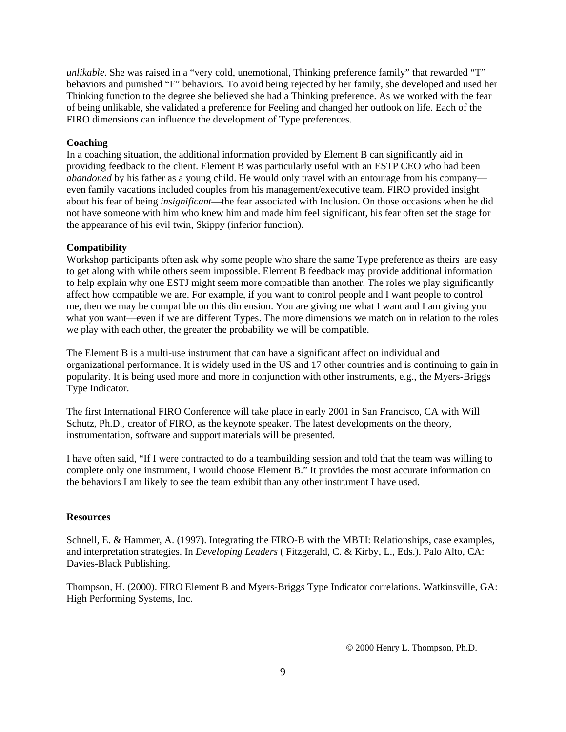*unlikable*. She was raised in a "very cold, unemotional, Thinking preference family" that rewarded "T" behaviors and punished "F" behaviors. To avoid being rejected by her family, she developed and used her Thinking function to the degree she believed she had a Thinking preference. As we worked with the fear of being unlikable, she validated a preference for Feeling and changed her outlook on life. Each of the FIRO dimensions can influence the development of Type preferences.

### **Coaching**

In a coaching situation, the additional information provided by Element B can significantly aid in providing feedback to the client. Element B was particularly useful with an ESTP CEO who had been *abandoned* by his father as a young child. He would only travel with an entourage from his company even family vacations included couples from his management/executive team. FIRO provided insight about his fear of being *insignificant*—the fear associated with Inclusion. On those occasions when he did not have someone with him who knew him and made him feel significant, his fear often set the stage for the appearance of his evil twin, Skippy (inferior function).

### **Compatibility**

Workshop participants often ask why some people who share the same Type preference as theirs are easy to get along with while others seem impossible. Element B feedback may provide additional information to help explain why one ESTJ might seem more compatible than another. The roles we play significantly affect how compatible we are. For example, if you want to control people and I want people to control me, then we may be compatible on this dimension. You are giving me what I want and I am giving you what you want—even if we are different Types. The more dimensions we match on in relation to the roles we play with each other, the greater the probability we will be compatible.

The Element B is a multi-use instrument that can have a significant affect on individual and organizational performance. It is widely used in the US and 17 other countries and is continuing to gain in popularity. It is being used more and more in conjunction with other instruments, e.g., the Myers-Briggs Type Indicator.

The first International FIRO Conference will take place in early 2001 in San Francisco, CA with Will Schutz, Ph.D., creator of FIRO, as the keynote speaker. The latest developments on the theory, instrumentation, software and support materials will be presented.

I have often said, "If I were contracted to do a teambuilding session and told that the team was willing to complete only one instrument, I would choose Element B." It provides the most accurate information on the behaviors I am likely to see the team exhibit than any other instrument I have used.

### **Resources**

Schnell, E. & Hammer, A. (1997). Integrating the FIRO-B with the MBTI: Relationships, case examples, and interpretation strategies. In *Developing Leaders* ( Fitzgerald, C. & Kirby, L., Eds.). Palo Alto, CA: Davies-Black Publishing.

Thompson, H. (2000). FIRO Element B and Myers-Briggs Type Indicator correlations. Watkinsville, GA: High Performing Systems, Inc.